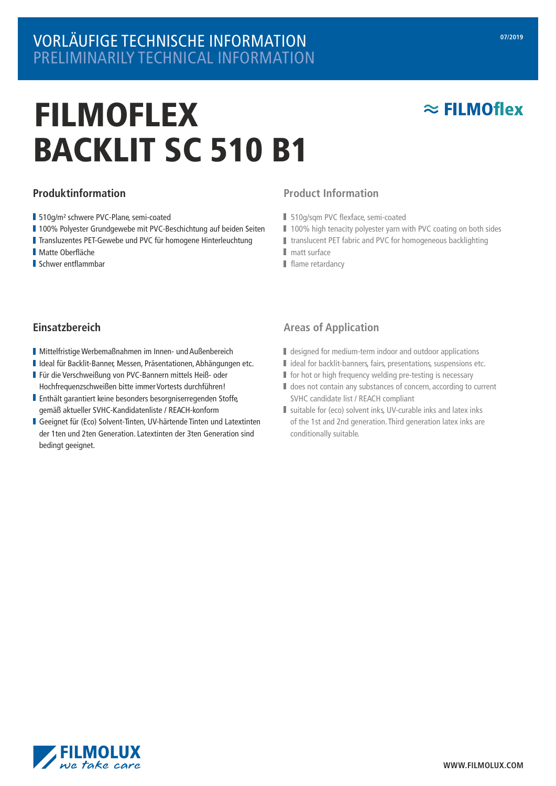## VORLÄUFIGE TECHNISCHE INFORMATION PRELIMINARILY TECHNICAL INFORMATION

# FILMOFLEX BACKLIT SC 510 B1

### **Produktinformation**

- 510g/m² schwere PVC-Plane, semi-coated
- 100% Polyester Grundgewebe mit PVC-Beschichtung auf beiden Seiten
- Transluzentes PET-Gewebe und PVC für homogene Hinterleuchtung
- Matte Oberfläche
- **Schwer entflammbar**

### **Product Information**

- 510g/sqm PVC flexface, semi-coated
- 100% high tenacity polyester yarn with PVC coating on both sides
- translucent PET fabric and PVC for homogeneous backlighting
- matt surface
- $\blacksquare$  flame retardancy

### **Einsatzbereich**

- Mittelfristige Werbemaßnahmen im Innen- und Außenbereich
- Ideal für Backlit-Banner, Messen, Präsentationen,Abhängungen etc.
- Für die Verschweißung von PVC-Bannern mittels Heiß- oder Hochfrequenzschweißen bitte immer Vortests durchführen!
- Enthält garantiert keine besonders besorgniserregenden Stoffe, gemäß aktueller SVHC-Kandidatenliste / REACH-konform
- Geeignet für (Eco) Solvent-Tinten, UV-härtende Tinten und Latextinten der 1ten und 2ten Generation. Latextinten der 3ten Generation sind bedingt geeignet.

### **Areas of Application**

- designed for medium-term indoor and outdoor applications
- I ideal for backlit-banners, fairs, presentations, suspensions etc.
- $\blacksquare$  for hot or high frequency welding pre-testing is necessary
- $\blacksquare$  does not contain any substances of concern, according to current SVHC candidate list / REACH compliant
- suitable for (eco) solvent inks, UV-curable inks and latex inks of the 1st and 2nd generation.Third generation latex inks are conditionally suitable.



 $\approx$  FILMOflex

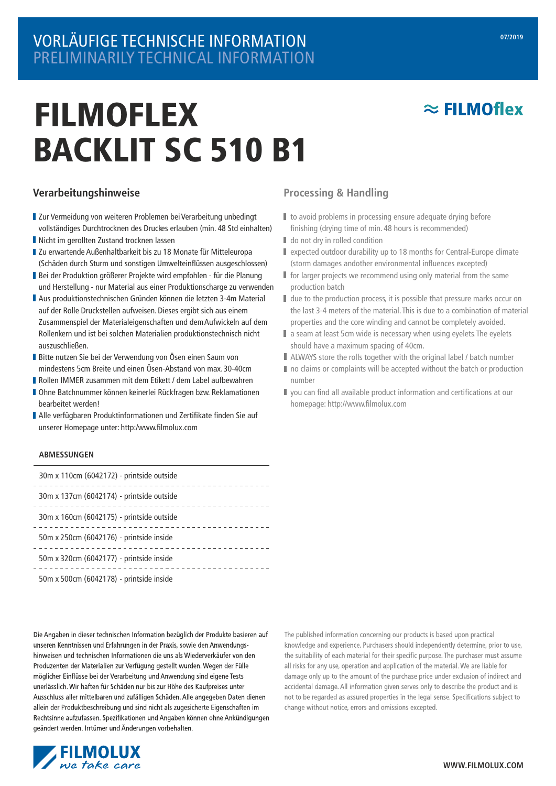## VORLÄUFIGE TECHNISCHE INFORMATION PRELIMINARILY TECHNICAL INFORMATION

# FILMOFLEX BACKLIT SC 510 B1

### **Verarbeitungshinweise**

- Zur Vermeidung von weiteren Problemen bei Verarbeitung unbedingt vollständiges Durchtrocknen des Druckes erlauben (min. 48 Std einhalten)
- Nicht im gerollten Zustand trocknen lassen
- Zu erwartende Außenhaltbarkeit bis zu 18 Monate für Mitteleuropa (Schäden durch Sturm und sonstigen Umwelteinüssen ausgeschlossen)
- Bei der Produktion größerer Projekte wird empfohlen für die Planung und Herstellung - nur Material aus einer Produktionscharge zu verwenden
- Aus produktionstechnischen Gründen können die letzten 3-4m Material auf der Rolle Druckstellen aufweisen. Dieses ergibt sich aus einem Zusammenspiel der Materialeigenschaften und dem Aufwickeln auf dem Rollenkern und ist bei solchen Materialien produktionstechnisch nicht auszuschließen.
- Bitte nutzen Sie bei der Verwendung von Ösen einen Saum von mindestens 5cm Breite und einen Ösen-Abstand von max. 30-40cm
- Rollen IMMER zusammen mit dem Etikett / dem Label aufbewahren
- Ohne Batchnummer können keinerlei Rückfragen bzw. Reklamationen bearbeitet werden!
- Alle verfügbaren Produktinformationen und Zertifikate finden Sie auf unserer Homepage unter: http:/www.filmolux.com

#### **ABMESSUNGEN**

| 30m x 110cm (6042172) - printside outside |
|-------------------------------------------|
| 30m x 137cm (6042174) - printside outside |
| 30m x 160cm (6042175) - printside outside |
| 50m x 250cm (6042176) - printside inside  |
| 50m x 320cm (6042177) - printside inside  |
| 50m x 500cm (6042178) - printside inside  |

Die Angaben in dieser technischen Information bezüglich der Produkte basieren auf unseren Kenntnissen und Erfahrungen in der Praxis, sowie den Anwendungshinweisen und technischen Informationen die uns als Wiederverkäufer von den Produzenten der Materialien zur Verfügung gestellt wurden. Wegen der Fülle möglicher Einflüsse bei der Verarbeitung und Anwendung sind eigene Tests unerlässlich. Wir haften für Schäden nur bis zur Höhe des Kaufpreises unter Ausschluss aller mittelbaren und zufälligen Schäden. Alle angegeben Daten dienen allein der Produktbeschreibung und sind nicht als zugesicherte Eigenschaften im Rechtsinne aufzufassen. Spezifikationen und Angaben können ohne Ankündigungen geändert werden. Irrtümer und Änderungen vorbehalten.



### **Processing & Handling**

- I to avoid problems in processing ensure adequate drying before finishing (drying time of min. 48 hours is recommended)
- $\blacksquare$  do not dry in rolled condition
- expected outdoor durability up to 18 months for Central-Europe climate (storm damages andother environmental influences excepted)
- **for larger projects we recommend using only material from the same** production batch
- I due to the production process, it is possible that pressure marks occur on the last 3-4 meters of the material.This is due to a combination of material properties and the core winding and cannot be completely avoided.
- a seam at least 5cm wide is necessary when using eyelets. The eyelets should have a maximum spacing of 40cm.
- ALWAYS store the rolls together with the original label / batch number
- $\blacksquare$  no claims or complaints will be accepted without the batch or production number
- $\blacksquare$  you can find all available product information and certifications at our homepage: http://www.filmolux.com

The published information concerning our products is based upon practical knowledge and experience. Purchasers should independently determine, prior to use, the suitability of each material for their specific purpose. The purchaser must assume all risks for any use, operation and application of the material. We are liable for damage only up to the amount of the purchase price under exclusion of indirect and accidental damage. All information given serves only to describe the product and is not to be regarded as assured properties in the legal sense. Specifications subject to change without notice, errors and omissions excepted.

 $\approx$  FILMOflex